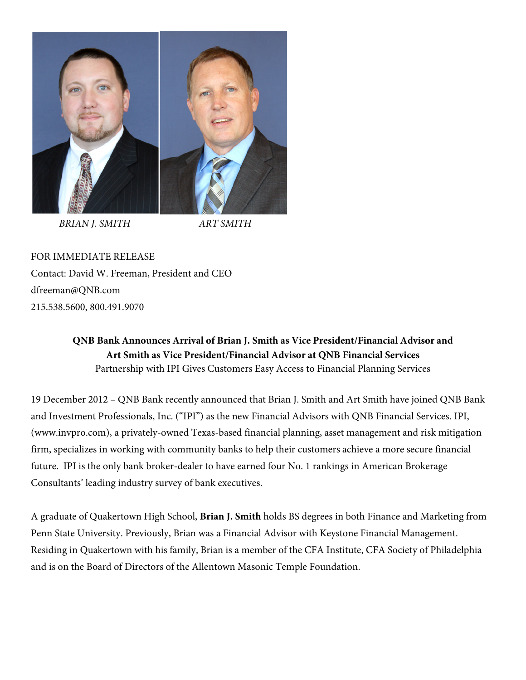

*BRIAN J. SMITH ART SMITH*

FOR IMMEDIATE RELEASE Contact: David W. Freeman, President and CEO dfreeman@QNB.com 215.538.5600, 800.491.9070

## **QNB Bank Announces Arrival of Brian J. Smith as Vice President/Financial Advisor and Art Smith as Vice President/Financial Advisor at QNB Financial Services**  Partnership with IPI Gives Customers Easy Access to Financial Planning Services

19 December 2012 – QNB Bank recently announced that Brian J. Smith and Art Smith have joined QNB Bank and Investment Professionals, Inc. ("IPI") as the new Financial Advisors with QNB Financial Services. IPI, (www.invpro.com), a privately-owned Texas-based financial planning, asset management and risk mitigation firm, specializes in working with community banks to help their customers achieve a more secure financial future. IPI is the only bank broker-dealer to have earned four No. 1 rankings in American Brokerage Consultants' leading industry survey of bank executives.

A graduate of Quakertown High School, **Brian J. Smith** holds BS degrees in both Finance and Marketing from Penn State University. Previously, Brian was a Financial Advisor with Keystone Financial Management. Residing in Quakertown with his family, Brian is a member of the CFA Institute, CFA Society of Philadelphia and is on the Board of Directors of the Allentown Masonic Temple Foundation.